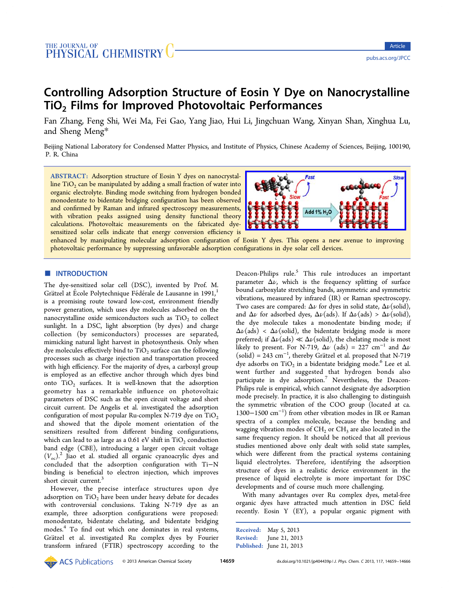# Controlling Adsorption Structure of Eosin Y Dye on Nanocrystalline TiO<sub>2</sub> Films for Improved Photovoltaic Performances

Fan Zhang, Feng Shi, Wei Ma, Fei Gao, Yang Jiao, Hui Li, Jingchuan Wang, Xinyan Shan, Xinghua Lu, and Sheng Meng\*

Beijing National Lab[ora](#page-6-0)tory for Condensed Matter Physics, and Institute of Physics, Chinese Academy of Sciences, Beijing, 100190, P. R. China

ABSTRACT: Adsorption structure of Eosin Y dyes on nanocrystalline  $TiO<sub>2</sub>$  can be manipulated by adding a small fraction of water into organic electrolyte. Binding mode switching from hydrogen bonded monodentate to bidentate bridging configuration has been observed and confirmed by Raman and infrared spectroscopy measurements, with vibration peaks assigned using density functional theory calculations. Photovoltaic measurements on the fabricated dyesensitized solar cells indicate that energy conversion efficiency is



enhanced by manipulating molecular adsorption configuration of E[osin Y dyes. This opens a new avenue to improving](http://pubs.acs.org/action/showImage?doi=10.1021/jp404439p&iName=master.img-000.jpg&w=215&h=76) photovoltaic performance by suppressing unfavorable adsorption configurations in dye solar cell devices.

# **■ INTRODUCTION**

The dye-sensitized solar cell (DSC), invented by Prof. M. Grätzel at École Polytechnique Fédérale de Lausanne in 1991,<sup>1</sup> is a promising route toward low-cost, environment friendly power generation, which uses dye molecules adsorbed on th[e](#page-6-0) nanocrystalline oxide semiconductors such as  $TiO<sub>2</sub>$  to collect sunlight. In a DSC, light absorption (by dyes) and charge collection (by semiconductors) processes are separated, mimicking natural light harvest in photosynthesis. Only when dye molecules effectively bind to  $TiO<sub>2</sub>$  surface can the following processes such as charge injection and transportation proceed with high efficiency. For the majority of dyes, a carboxyl group is employed as an effective anchor through which dyes bind onto  $TiO<sub>2</sub>$  surfaces. It is well-known that the adsorption geometry has a remarkable influence on photovoltaic parameters of DSC such as the open circuit voltage and short circuit current. De Angelis et al. investigated the adsorption configuration of most popular Ru-complex N-719 dye on  $TiO<sub>2</sub>$ and showed that the dipole moment orientation of the sensitizers resulted from different binding configurations, which can lead to as large as a  $0.61$  eV shift in TiO<sub>2</sub> conduction band edge (CBE), introducing a larger open circuit voltage  $(V_{\infty})^2$  Jiao et al. studied all organic cyanoacrylic dyes and concluded that the adsorption configuration with Ti−N bindi[ng](#page-6-0) is beneficial to electron injection, which improves short circuit current.<sup>3</sup>

However, the precise interface structures upon dye adsorption on  $TiO<sub>2</sub>$  [h](#page-6-0)ave been under heavy debate for decades with controversial conclusions. Taking N-719 dye as an example, three adsorption configurations were proposed: monodentate, bidentate chelating, and bidentate bridging modes.<sup>4</sup> To find out which one dominates in real systems, Grätzel et al. investigated Ru complex dyes by Fourier transfo[rm](#page-6-0) infrared (FTIR) spectroscopy according to the

Deacon-Philips rule.<sup>5</sup> This rule introduces an important parameter  $\Delta \nu$ , which is the frequency splitting of surface bound carboxylate str[e](#page-6-0)tching bands, asymmetric and symmetric vibrations, measured by infrared (IR) or Raman spectroscopy. Two cases are compared:  $\Delta \nu$  for dyes in solid state,  $\Delta \nu$ (solid), and  $\Delta \nu$  for adsorbed dyes,  $\Delta \nu$ (ads). If  $\Delta \nu$ (ads) >  $\Delta \nu$ (solid), the dye molecule takes a monodentate binding mode; if  $\Delta\nu$ (ads) <  $\Delta\nu$ (solid), the bidentate bridging mode is more preferred; if  $\Delta \nu$ (ads)  $\ll \Delta \nu$ (solid), the chelating mode is most likely to present. For N-719,  $\Delta \nu$  (ads) = 227 cm<sup>-1</sup> and  $\Delta \nu$  $\text{(solid)} = 243 \text{ cm}^{-1}$ , thereby Grätzel et al. proposed that N-719 dye adsorbs on  $TiO<sub>2</sub>$  in a bidentate bridging mode.<sup>6</sup> Lee et al. went further and suggested that hydrogen bonds also participat[e](#page-6-0) in dye adsorption.<sup>7</sup> Nevertheless, the Deacon-Philips rule is empirical, which cannot designate dye adsorption mode precisely. In practice, it is [a](#page-6-0)lso challenging to distinguish the symmetric vibration of the COO group (located at ca. 1300−1500 cm<sup>−</sup><sup>1</sup> ) from other vibration modes in IR or Raman spectra of a complex molecule, because the bending and wagging vibration modes of  $CH<sub>2</sub>$  or  $CH<sub>3</sub>$  are also located in the same frequency region. It should be noticed that all previous studies mentioned above only dealt with solid state samples, which were different from the practical systems containing liquid electrolytes. Therefore, identifying the adsorption structure of dyes in a realistic device environment in the presence of liquid electrolyte is more important for DSC developments and of course much more challenging.

With many advantages over Ru complex dyes, metal-free organic dyes have attracted much attention in DSC field recently. Eosin Y (EY), a popular organic pigment with

| Received:       | May 5, 2013              |
|-----------------|--------------------------|
| <b>Revised:</b> | June 21, 2013            |
|                 | Published: June 21, 2013 |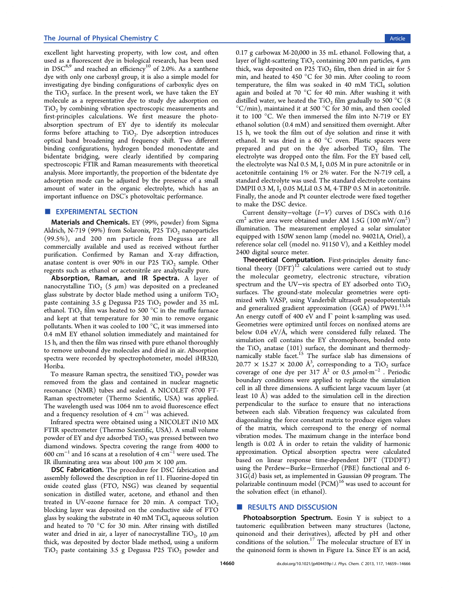excellent light harvesting property, with low cost, and often used as a fluorescent dye in biological research, has been used in  $DSC^{8,9}$  and reached an efficiency<sup>10</sup> of 2.0%. As a xanthene dye with only one carboxyl group, it is also a simple model for investig[ati](#page-6-0)ng dye binding configurat[ion](#page-6-0)s of carboxylic dyes on the  $TiO<sub>2</sub>$  surface. In the present work, we have taken the EY molecule as a representative dye to study dye adsorption on  $TiO<sub>2</sub>$  by combining vibration spectroscopic measurements and first-principles calculations. We first measure the photoabsorption spectrum of EY dye to identify its molecular forms before attaching to  $TiO<sub>2</sub>$ . Dye adsorption introduces optical band broadening and frequency shift. Two different binding configurations, hydrogen bonded monodentate and bidentate bridging, were clearly identified by comparing spectroscopic FTIR and Raman measurements with theoretical analysis. More importantly, the proportion of the bidentate dye adsorption mode can be adjusted by the presence of a small amount of water in the organic electrolyte, which has an important influence on DSC's photovoltaic performance.

## **EXPERIMENTAL SECTION**

Materials and Chemicals. EY (99%, powder) from Sigma Aldrich, N-719 (99%) from Solaronix, P25 TiO<sub>2</sub> nanoparticles (99.5%), and 200 nm particle from Degussa are all commercially available and used as received without further purification. Confirmed by Raman and X-ray diffraction, anatase content is over 90% in our P25  $TiO<sub>2</sub>$  sample. Other regents such as ethanol or acetonitrile are analytically pure.

Absorption, Raman, and IR Spectra. A layer of nanocrystalline TiO<sub>2</sub> (5  $\mu$ m) was deposited on a precleaned glass substrate by doctor blade method using a uniform  $TiO<sub>2</sub>$ paste containing 3.5 g Degussa P25 TiO<sub>2</sub> powder and 35 mL ethanol. TiO<sub>2</sub> film was heated to 500  $^{\circ}$ C in the muffle furnace and kept at that temperature for 30 min to remove organic pollutants. When it was cooled to 100 °C, it was immersed into 0.4 mM EY ethanol solution immediately and maintained for 15 h, and then the film was rinsed with pure ethanol thoroughly to remove unbound dye molecules and dried in air. Absorption spectra were recorded by spectrophotometer, model iHR320, Horiba.

To measure Raman spectra, the sensitized  $TiO<sub>2</sub>$  powder was removed from the glass and contained in nuclear magnetic resonance (NMR) tubes and sealed. A NICOLET 6700 FT-Raman spectrometer (Thermo Scientific, USA) was applied. The wavelength used was 1064 nm to avoid fluorescence effect and a frequency resolution of 4  $cm^{-1}$  was achieved.

Infrared spectra were obtained using a NICOLET iN10 MX FTIR spectrometer (Thermo Scientific, USA). A small volume powder of EY and dye adsorbed  $TiO<sub>2</sub>$  was pressed between two diamond windows. Spectra covering the range from 4000 to 600 cm<sup>−</sup><sup>1</sup> and 16 scans at a resolution of 4 cm<sup>−</sup><sup>1</sup> were used. The IR illuminating area was about 100  $\mu$ m × 100  $\mu$ m.

DSC Fabrication. The procedure for DSC fabrication and assembly followed the description in ref 11. Fluorine-doped tin oxide coated glass (FTO, NSG) was cleaned by sequential sonication in distilled water, acetone, [and](#page-6-0) ethanol and then treated in UV-ozone furnace for 20 min. A compact  $TiO<sub>2</sub>$ blocking layer was deposited on the conductive side of FTO glass by soaking the substrate in 40 mM  $TiCl<sub>4</sub>$  aqueous solution and heated to 70 °C for 30 min. After rinsing with distilled water and dried in air, a layer of nanocrystalline  $TiO<sub>2</sub>$ , 10  $\mu$ m thick, was deposited by doctor blade method, using a uniform  $TiO<sub>2</sub>$  paste containing 3.5 g Degussa P25  $TiO<sub>2</sub>$  powder and 0.17 g carbowax M-20,000 in 35 mL ethanol. Following that, a layer of light-scattering TiO<sub>2</sub> containing 200 nm particles, 4  $\mu$ m thick, was deposited on P25 TiO<sub>2</sub> film, then dried in air for 5 min, and heated to 450 °C for 30 min. After cooling to room temperature, the film was soaked in 40 mM  $TiCl<sub>4</sub>$  solution again and boiled at 70 °C for 40 min. After washing it with distilled water, we heated the  $TiO<sub>2</sub>$  film gradually to 500 °C (8)  $\rm{^{\circ}C/min}$ ), maintained it at 500  $\rm{^{\circ}C}$  for 30 min, and then cooled it to 100 °C. We then immersed the film into N-719 or EY ethanol solution (0.4 mM) and sensitized them overnight. After 15 h, we took the film out of dye solution and rinse it with ethanol. It was dried in a 60 °C oven. Plastic spacers were prepared and put on the dye adsorbed  $TiO<sub>2</sub>$  film. The electrolyte was dropped onto the film. For the EY based cell, the electrolyte was NaI 0.5 M,  $I_2$  0.05 M in pure actonitrile or in acetonitrile containing 1% or 2% water. For the N-719 cell, a standard electrolyte was used. The standard electrolyte contains DMPII 0.3 M,  $I_2$  0.05 M, LiI 0.5 M, 4-TBP 0.5 M in acetonitrile. Finally, the anode and Pt counter electrode were fixed together to make the DSC device.

Current density−voltage (I−V) curves of DSCs with 0.16 cm<sup>2</sup> active area were obtained under AM 1.5G (100 mW/cm<sup>2</sup>) illumination. The measurement employed a solar simulator equipped with 150W xenon lamp (model no. 94021A, Oriel), a reference solar cell (model no. 91150 V), and a Keithley model 2400 digital source meter.

Theoretical Computation. First-principles density functional theory  $(DFT)^{12}$  calculations were carried out to study the molecular geometry, electronic structure, vibration spectrum and the U[V](#page-6-0)–vis spectra of EY adsorbed onto TiO<sub>2</sub> surfaces. The ground-state molecular geometries were optimized with VASP, using Vanderbilt ultrasoft pesudopotentials and generalized gradient approximation (GGA) of  $\overline{P}W91$ .<sup>13,14</sup> An energy cutoff of 400 eV and  $\Gamma$  point k-sampling was used. Geometries were optimized until forces on nonfixed atom[s are](#page-6-0) below 0.04 eV/Å, which were considered fully relaxed. The simulation cell contains the EY chromophores, bonded onto the  $TiO<sub>2</sub>$  anatase (101) surface, the dominant and thermodynamically stable facet.<sup>15</sup> The surface slab has dimensions of  $20.77 \times 15.27 \times 20.00 \text{ Å}^3$ , corresponding to a  $\text{TiO}_2$  surface coverage of one dye [pe](#page-6-0)r 317  $\AA^2$  or 0.5  $\mu$ mol·m<sup>-2</sup>. Periodic boundary conditions were applied to replicate the simulation cell in all three dimensions. A sufficient large vacuum layer (at least 10 Å) was added to the simulation cell in the direction perpendicular to the surface to ensure that no interactions between each slab. Vibration frequency was calculated from diagonalizing the force constant matrix to produce eigen values of the matrix, which correspond to the energy of normal vibration modes. The maximum change in the interface bond length is 0.02 Å in order to retain the validity of harmonic approximation. Optical absorption spectra were calculated based on linear response time-dependent DFT (TDDFT) using the Perdew−Burke−Ernzerhof (PBE) functional and 6- 31G(d) basis set, as implemented in Gaussian 09 program. The polarizable continuum model  $(PCM)^{16}$  was used to account for the solvation effect (in ethanol).

# ■ RESULTS AND DISSCUSION

Photoabsorption Spectrum. Eosin Y is subject to a tautomeric equilibration between many structures (lactone, quinonoid and their derivatives), affected by pH and other conditions of the solution.<sup>17</sup> The molecular structure of EY in the quinonoid form is shown in Figure 1a. Since EY is an acid,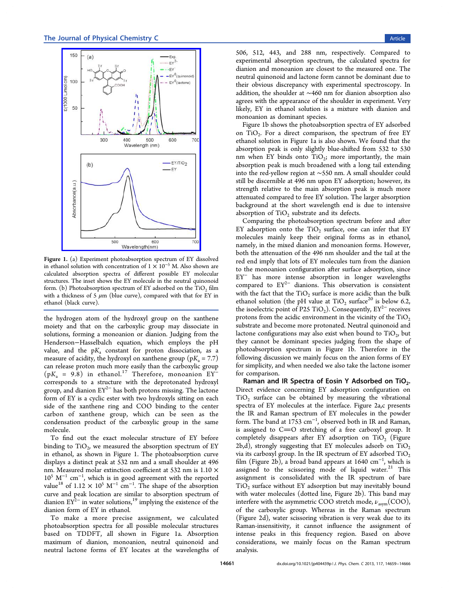<span id="page-2-0"></span>

Figure 1. [\(a\) Experiment photoabsorption spectrum of EY d](http://pubs.acs.org/action/showImage?doi=10.1021/jp404439p&iName=master.img-001.jpg&w=186&h=274)issolved in ethanol solution with concentration of  $1 \times 10^{-5}$  M. Also shown are calculated absorption spectra of different possible EY molecular structures. The inset shows the EY molecule in the neutral quinonoid form. (b) Photoabsorption spectrum of EY adsorbed on the  $TiO<sub>2</sub> film$ with a thickness of 5  $\mu$ m (blue curve), compared with that for EY in ethanol (black curve).

the hydrogen atom of the hydroxyl group on the xanthene moiety and that on the carboxylic group may dissociate in solutions, forming a monoanion or dianion. Judging from the Henderson−Hasselbalch equation, which employs the pH value, and the  $pK_a$  constant for proton dissociation, as a measure of acidity, the hydroxyl on xanthene group ( $pK_a = 7.7$ ) can release proton much more easily than the carboxylic group  $(pK_a = 9.8)$  in ethanol.<sup>17</sup> Therefore, monoanion EY<sup>-</sup> corresponds to a structure with the deprotonated hydroxyl group, and dianion EY<sup>2−</sup> ha[s b](#page-6-0)oth protons missing. The lactone form of EY is a cyclic ester with two hydroxyls sitting on each side of the xanthene ring and COO binding to the center carbon of xanthene group, which can be seen as the condensation product of the carboxylic group in the same molecule.

To find out the exact molecular structure of EY before binding to  $TiO<sub>2</sub>$ , we measured the absorption spectrum of EY in ethanol, as shown in Figure 1. The photoabsorption curve displays a distinct peak at 532 nm and a small shoulder at 496 nm. Measured molar extinction coefficient at 532 nm is 1.10  $\times$ 105 M<sup>−</sup><sup>1</sup> cm<sup>−</sup><sup>1</sup> , which is in good agreement with the reported value<sup>18</sup> of 1.12 × 10<sup>5</sup> M<sup>-1</sup> cm<sup>-1</sup>. The shape of the absorption curve and peak location are similar to absorption spectrum of diani[on](#page-6-0)  $EY^{2-}$  in water solutions,<sup>19</sup> implying the existence of the dianion form of EY in ethanol.

To make a more precis[e](#page-6-0) assignment, we calculated photoabsorption spectra for all possible molecular structures based on TDDFT, all shown in Figure 1a. Absorption maximum of dianion, monoanion, neutral quinonoid and neutral lactone forms of EY locates at the wavelengths of 506, 512, 443, and 288 nm, respectively. Compared to experimental absorption spectrum, the calculated spectra for dianion and monoanion are closest to the measured one. The neutral quinonoid and lactone form cannot be dominant due to their obvious discrepancy with experimental spectroscopy. In addition, the shoulder at ∼460 nm for dianion absorption also agrees with the appearance of the shoulder in experiment. Very likely, EY in ethanol solution is a mixture with dianion and monoanion as dominant species.

Figure 1b shows the photoabsorption spectra of EY adsorbed on  $TiO<sub>2</sub>$ . For a direct comparison, the spectrum of free EY ethanol solution in Figure 1a is also shown. We found that the absorption peak is only slightly blue-shifted from 532 to 530 nm when EY binds onto  $TiO<sub>2</sub>$ ; more importantly, the main absorption peak is much broadened with a long tail extending into the red-yellow region at ∼550 nm. A small shoulder could still be discernible at 496 nm upon EY adsorption; however, its strength relative to the main absorption peak is much more attenuated compared to free EY solution. The larger absorption background at the short wavelength end is due to intensive absorption of  $TiO<sub>2</sub>$  substrate and its defects.

Comparing the photoabsorption spectrum before and after EY adsorption onto the  $TiO<sub>2</sub>$  surface, one can infer that EY molecules mainly keep their original forms as in ethanol, namely, in the mixed dianion and monoanion forms. However, both the attenuation of the 496 nm shoulder and the tail at the red end imply that lots of EY molecules turn from the dianion to the monoanion configuration after surface adsorption, since EY<sup>−</sup> has more intense absorption in longer wavelengths compared to  $EY^{2-}$  dianions. This observation is consistent with the fact that the  $TiO<sub>2</sub>$  surface is more acidic than the bulk ethanol solution (the pH value at  $TiO<sub>2</sub>$  surface<sup>20</sup> is below 6.2, the isoelectric point of P25 TiO<sub>2</sub>). Consequently,  $EY^{2-}$  receives protons from the acidic environment in the vici[nit](#page-6-0)y of the  $TiO<sub>2</sub>$ substrate and become more protonated. Neutral quinonoid and lactone configurations may also exist when bound to  $TiO<sub>2</sub>$ , but they cannot be dominant species judging from the shape of photoabsorption spectrum in Figure 1b. Therefore in the following discussion we mainly focus on the anion forms of EY for simplicity, and when needed we also take the lactone isomer for comparison.

Raman and IR Spectra of Eosin Y Adsorbed on TiO<sub>2</sub>. Direct evidence concerning EY adsorption configuration on  $TiO<sub>2</sub>$  surface can be obtained by measuring the vibrational spectra of EY molecules at the interface. Figure 2a,c presents the IR and Raman spectrum of EY molecules in the powder form. The band at 1753  $\mathrm{cm}^{-1}$ , observed both in I[R a](#page-3-0)nd Raman, is assigned to  $C=O$  stretching of a free carboxyl group. It completely disappears after EY adsorption on  $TiO<sub>2</sub>$  (Figure 2b,d), strongly suggesting that EY molecules adsorb on  $TiO<sub>2</sub>$ via its carboxyl group. In the IR spectrum of EY adsorbed  $TiO<sub>2</sub>$ film (Figure 2b), a broad band appears at 1640 cm<sup>−</sup><sup>1</sup> , which is [as](#page-3-0)signed to the scissoring mode of liquid water.<sup>21</sup> This assignment [is](#page-3-0) consolidated with the IR spectrum of bare  $TiO<sub>2</sub>$  surface without EY adsorption but may inevitabl[y b](#page-6-0)ound with water molecules (dotted line, Figure 2b). This band may interfere with the asymmetric COO stretch mode,  $\nu_{\text{asym}}(\text{COO})$ , of the carboxylic group. Whereas in th[e](#page-3-0) Raman spectrum (Figure 2d), water scissoring vibration is very weak due to its Raman-insensitivity, it cannot influence the assignment of intense [p](#page-3-0)eaks in this frequency region. Based on above considerations, we mainly focus on the Raman spectrum analysis.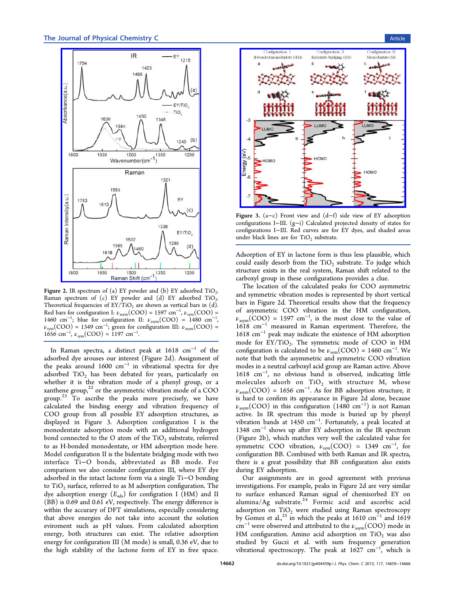<span id="page-3-0"></span>

Figure 2. [IR spectrum of \(a\) EY powder and \(b\) EY adsorbe](http://pubs.acs.org/action/showImage?doi=10.1021/jp404439p&iName=master.img-002.jpg&w=187&h=317)d  $TiO<sub>2</sub>$ . Raman spectrum of  $(c)$  EY powder and  $(d)$  EY adsorbed TiO<sub>2</sub>. Theoretical frequencies of  $EY/TiO<sub>2</sub>$  are shown as vertical bars in (d). Red bars for configuration I:  $\nu_{\text{asym}}(\text{COO}) = 1597 \text{ cm}^{-1}$ ,  $\nu_{\text{sym}}(\text{COO}) =$ 1460 cm<sup>-1</sup>; blue for configuration II:  $\nu_{\text{asym}}(\text{COO}) = 1480 \text{ cm}^{-1}$ ,  $\nu_{sym}(\text{COO}) = 1349 \text{ cm}^{-1}$ ; green for configuration III:  $\nu_{asym}(\text{COO}) =$ 1656 cm<sup>-1</sup>,  $\nu_{sym}(\text{COO}) = 1197 \text{ cm}^{-1}$ .

In Raman spectra, a distinct peak at 1618 cm<sup>−</sup><sup>1</sup> of the adsorbed dye arouses our interest (Figure 2d). Assignment of the peaks around 1600  $cm^{-1}$  in vibrational spectra for dye adsorbed  $TiO<sub>2</sub>$  has been debated for years, particularly on whether it is the vibration mode of a phenyl group, or a xanthene group, $^{22}$  or the asymmetric vibration mode of a COO group.<sup>23</sup> To ascribe the peaks more precisely, we have calculated the [bi](#page-6-0)nding energy and vibration frequency of COO [gr](#page-6-0)oup from all possible EY adsorption structures, as displayed in Figure 3. Adsorption configuration I is the monodentate adsorption mode with an additional hydrogen bond connected to the O atom of the  $TiO<sub>2</sub>$  substrate, referred to as H-bonded monodentate, or HM adsorption mode here. Model configuration II is the bidentate bridging mode with two interface Ti−O bonds, abbreviated as BB mode. For comparison we also consider configuration III, where EY dye adsorbed in the intact lactone form via a single Ti−O bonding to  $TiO<sub>2</sub>$  surface, referred to as M adsorption configuration. The dye adsorption energy  $(E_{ads})$  for configration I (HM) and II (BB) is 0.69 and 0.61 eV, respectively. The energy difference is within the accurary of DFT simulations, especially considering that above energies do not take into account the solution eviroment such as pH values. From calculated adsorption energy, both structures can exist. The relative adsorption energy for configuration III (M mode) is small, 0.36 eV, due to the high stability of the lactone form of EY in free space.



Figure 3. (a−c) Front view and (d−f) side view of EY adsorption configurations I−III. (g−[i\) Calculated projected density of states f](http://pubs.acs.org/action/showImage?doi=10.1021/jp404439p&iName=master.img-003.jpg&w=223&h=214)or configurations I−III. Red curves are for EY dyes, and shaded areas under black lines are for  $TiO<sub>2</sub>$  substrate.

Adsorption of EY in lactone form is thus less plausible, which could easily desorb from the  $TiO<sub>2</sub>$  substrate. To judge which structure exists in the real system, Raman shift related to the carboxyl group in these configurations provides a clue.

The location of the calculated peaks for COO asymmetric and symmetric vibration modes is represented by short vertical bars in Figure 2d. Theoretical results show that the frequency of asymmetric COO vibration in the HM configuration,  $\nu_{\text{asym}}(\text{COO}) = 1597 \text{ cm}^{-1}$ , is the most close to the value of 1618 cm<sup>−</sup><sup>1</sup> measured in Raman experiment. Therefore, the 1618 cm<sup>−</sup><sup>1</sup> peak may indicate the existence of HM adsorption mode for  $EY/TiO<sub>2</sub>$ . The symmetric mode of COO in HM configuration is calculated to be  $\nu_{sym}(\text{COO}) = 1460 \text{ cm}^{-1}$ . We note that both the asymmetric and symmetric COO vibration modes in a neutral carboxyl acid group are Raman active. Above 1618 cm<sup>−</sup><sup>1</sup> , no obvious band is observed, indicating little molecules adsorb on  $TiO<sub>2</sub>$  with structure M, whose  $\nu_{\text{asym}}(\text{COO}) = 1656 \text{ cm}^{-1}$ . As for BB adsorption structure, it is hard to confirm its appearance in Figure 2d alone, because  $\nu_{\text{asym}}(\text{COO})$  in this configuration (1480 cm<sup>-1</sup>) is not Raman active. In IR spectrum this mode is buried up by phenyl vibration bands at 1450 cm<sup>−</sup><sup>1</sup> . Fortunately, a peak located at 1348 cm<sup>−</sup><sup>1</sup> shows up after EY adsorption in the IR spectrum (Figure 2b), which matches very well the calculated value for symmetric COO vibration,  $\nu_{sym}(\text{COO}) = 1349 \text{ cm}^{-1}$ , for configuration BB. Combined with both Raman and IR spectra, there is a great possibility that BB configuration also exists during EY adsorption.

Our assignments are in good agreement with previous investigations. For example, peaks in Figure 2d are very similar to surface enhanced Raman signal of chemisorbed EY on alumina/Ag substrate.<sup>24</sup> Formic acid and ascorbic acid adsorption on  $TiO<sub>2</sub>$  were studied using Raman spectroscopy by Gomez et al.,<sup>25</sup> in w[hic](#page-6-0)h the peaks at 1610 cm<sup>-1</sup> and 1619  $\text{cm}^{-1}$  were observed and attributed to the  $\nu_{\text{asym}}(\text{COO})$  mode in HM configurati[on.](#page-7-0) Amino acid adsorption on  $TiO<sub>2</sub>$  was also studied by Guczi et al. with sum frequency generation vibrational spectroscopy. The peak at  $1627$   $\text{cm}^{-1}$ , which is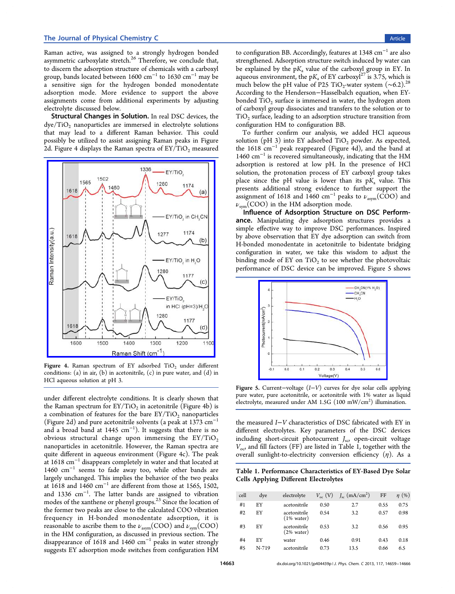<span id="page-4-0"></span>Raman active, was assigned to a strongly hydrogen bonded asymmetric carboxylate stretch.<sup>26</sup> Therefore, we conclude that, to discern the adsorption structure of chemicals with a carboxyl group, bands located between [160](#page-7-0)0 cm<sup>-1</sup> to 1630 cm<sup>-1</sup> may be a sensitive sign for the hydrogen bonded monodentate adsorption mode. More evidence to support the above assignments come from additional experiments by adjusting electrolyte discussed below.

Structural Changes in Solution. In real DSC devices, the  $\frac{dye}{TiO_2}$  nanoparticles are immersed in electrolyte solutions that may lead to a different Raman behavior. This could possibly be utilized to assist assigning Raman peaks in Figure 2d. Figure 4 displays the Raman spectra of  $EY/TiO<sub>2</sub>$  measured



Figure 4. Raman spectrum of EY adsorbed  $TiO<sub>2</sub>$  under different conditions: (a) in air, (b) in acetonitrile,  $(c)$  in pure water, and  $(d)$  in HCl aqueous solution at pH 3.

under different electrolyte conditions. It is clearly shown that the Raman spectrum for  $EY/TiO<sub>2</sub>$  in acetonitrile (Figure 4b) is a combination of features for the bare  $EY/TiO<sub>2</sub>$  nanoparticles (Figure 2d) and pure acetonitrile solvents (a peak at 1373 cm<sup>−</sup><sup>1</sup> and a broad band at 1445 cm<sup>-1</sup>). It suggests that there is no obvious structural change upon immersing the  $EY/TiO<sub>2</sub>$ nanoparticles in acetonitrile. However, the Raman spectra are quite different in aqueous environment (Figure 4c). The peak at 1618 cm<sup>−</sup><sup>1</sup> disappears completely in water and that located at 1460 cm<sup>−</sup><sup>1</sup> seems to fade away too, while other bands are largely unchanged. This implies the behavior of the two peaks at 1618 and 1460 cm<sup>−</sup><sup>1</sup> are different from those at 1565, 1502, and 1336 cm<sup>−</sup><sup>1</sup> . The latter bands are assigned to vibration modes of the xanthene or phenyl groups.<sup>23</sup> Since the location of the former two peaks are close to the calculated COO vibration frequency in H-bonded monodent[ate](#page-6-0) adsorption, it is reasonable to ascribe them to the  $\nu_{\text{asym}}(\text{COO})$  and  $\nu_{\text{sym}}(\text{COO})$ in the HM configuration, as discussed in previous section. The disappearance of 1618 and 1460 cm<sup>-1</sup> peaks in water strongly suggests EY adsorption mode switches from configuration HM

to configuration BB. Accordingly, features at 1348 cm<sup>−</sup><sup>1</sup> are also strengthened. Adsorption structure switch induced by water can be explained by the  $pK_a$  value of the carboxyl group in EY. In aqueous environment, the pK, of EY carboxyl<sup>27</sup> is 3.75, which is much below the pH value of P25 TiO<sub>2</sub>-water system (~6.2).<sup>28</sup> According to the Henderson−Hasselbalch e[qua](#page-7-0)tion, when EYbonded TiO<sub>2</sub> surface is i[m](#page-7-0)mersed in water, the hydrogen atom of carboxyl group dissociates and transfers to the solution or to  $TiO<sub>2</sub>$  surface, leading to an adsorption structure transition from configuration HM to configuration BB.

To further confirm our analysis, we added HCl aqueous solution (pH 3) into EY adsorbed  $TiO<sub>2</sub>$  powder. As expected, the 1618 cm<sup>−</sup><sup>1</sup> peak reappeared (Figure 4d), and the band at 1460 cm<sup>−</sup><sup>1</sup> is recovered simultaneously, indicating that the HM adsorption is restored at low pH. In the presence of HCl solution, the protonation process of EY carboxyl group takes place since the pH value is lower than its  $pK_a$  value. This presents additional strong evidence to further support the assignment of 1618 and 1460 cm<sup>-1</sup> peaks to  $\nu_{\text{asym}}(\text{COO})$  and  $\nu_{sym}$ (COO) in the HM adsorption mode.

Influence of Adsorption Structure on DSC Performance. Manipulating dye adsorption structures provides a simple effective way to improve DSC performances. Inspired by above observation that EY dye adsorption can switch from H-bonded monodentate in acetonitrile to bidentate bridging configuration in water, we take this wisdom to adjust the binding mode of EY on  $TiO<sub>2</sub>$  to see whether the photovoltaic performance of DSC device can be improved. Figure 5 shows



Figure 5. Current−voltage (I−V) curves for dye solar cells applying pure wat[er, pure acetonitrile, or acetonitrile with 1% water](http://pubs.acs.org/action/showImage?doi=10.1021/jp404439p&iName=master.img-005.jpg&w=171&h=132) as liquid electrolyte, measured under AM 1.5G (100 mW/cm<sup>2</sup>) illumination.

the measured I−V characteristics of DSC fabricated with EY in different electrolytes. Key parameters of the DSC devices including short-circuit photocurrent  $J_{\rm sc}$  open-circuit voltage  $V_{\text{o}c}$ , and fill factors (FF) are listed in Table 1, together with the overall sunlight-to-electricity conversion efficiency  $(\eta)$ . As a

Table 1. Performance Characteristics of EY-Based Dye Solar Cells Applying Different Electrolytes

| cell | dye   | electrolyte                           | $V_{\alpha c}$ (V) | $J_{\rm sc}$ (mA/cm <sup>2</sup> ) | FF   | $\eta$ (%) |
|------|-------|---------------------------------------|--------------------|------------------------------------|------|------------|
| #1   | EY    | acetonitrile                          | 0.50               | 2.7                                | 0.55 | 0.75       |
| #2   | EY    | acetonitrile<br>$(1\% \text{ water})$ | 0.54               | 3.2                                | 0.57 | 0.98       |
| #3   | EY    | acetonitrile<br>$(2\% \text{ water})$ | 0.53               | 3.2                                | 0.56 | 0.95       |
| #4   | EY    | water                                 | 0.46               | 0.91                               | 0.43 | 0.18       |
| #5   | N-719 | acetonitrile                          | 0.73               | 13.5                               | 0.66 | 6.5        |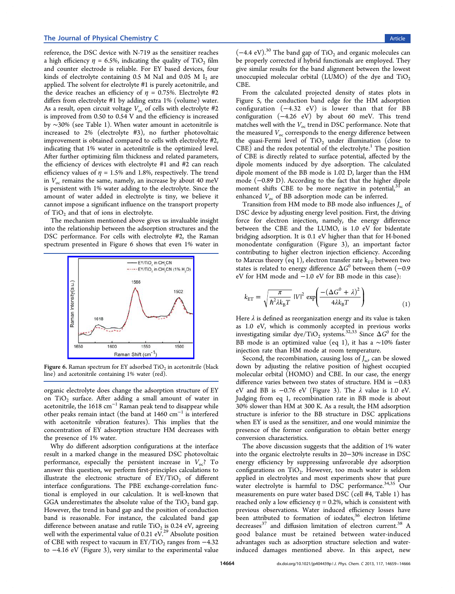reference, the DSC device with N-719 as the sensitizer reaches a high efficiency  $\eta = 6.5\%$ , indicating the quality of TiO<sub>2</sub> film and counter electrode is reliable. For EY based devices, four kinds of electrolyte containing  $0.5$  M NaI and  $0.05$  M I<sub>2</sub> are applied. The solvent for electrolyte #1 is purely acetonitrile, and the device reaches an efficiency of  $\eta = 0.75$ %. Electrolyte #2 differs from electrolyte #1 by adding extra 1% (volume) water. As a result, open circuit voltage  $V_{\text{oc}}$  of cells with electrolyte #2 is improved from 0.50 to 0.54 V and the efficiency is increased by ∼30% (see Table 1). When water amount in acetonitrile is increased to 2% (electrolyte #3), no further photovoltaic improvement is obtai[ne](#page-4-0)d compared to cells with electrolyte #2, indicating that 1% water in acetonitrile is the optimized level. After further optimizing film thickness and related parameters, the efficiency of devices with electrolyte #1 and #2 can reach efficiency values of  $\eta = 1.5\%$  and 1.8%, respectively. The trend in  $V_{\text{oc}}$  remains the same, namely, an increase by about 40 meV is persistent with 1% water adding to the electrolyte. Since the amount of water added in electrolyte is tiny, we believe it cannot impose a significant influence on the transport property of TiO<sub>2</sub> and that of ions in electrolyte.

The mechanism mentioned above gives us invaluable insight into the relationship between the adsorption structures and the DSC performance. For cells with electrolyte #2, the Raman spectrum presented in Figure 6 shows that even 1% water in



**Figure 6.** Raman spectrum for EY adsorbed  $TiO<sub>2</sub>$  in acetonitrile (black line) and acetonitrile containing 1% water (red).

organic electrolyte does change the adsorption structure of EY on  $TiO<sub>2</sub>$  surface. After adding a small amount of water in acetonitrile, the 1618 cm<sup>−</sup><sup>1</sup> Raman peak tend to disappear while other peaks remain intact (the band at 1460 cm<sup>−</sup><sup>1</sup> is interfered with acetonitrile vibration features). This implies that the concentration of EY adsorption structure HM decreases with the presence of 1% water.

Why do different adsorption configurations at the interface result in a marked change in the measured DSC photovoltaic performance, especially the persistent increase in  $V_{oc}$ ? To answer this question, we perform first-principles calculations to illustrate the electronic structure of  $EY/TiO<sub>2</sub>$  of different interface configurations. The PBE exchange-correlation functional is employed in our calculation. It is well-known that GGA underestimates the absolute value of the  $TiO<sub>2</sub>$  band gap. However, the trend in band gap and the position of conduction band is reasonable. For instance, the calculated band gap difference between anatase and rutile  $TiO<sub>2</sub>$  is 0.24 eV, agreeing well with the experimental value of 0.21  $eV^{29}$  Absolute position of CBE with respect to vacuum in  $EY/TiO<sub>2</sub>$  ranges from  $-4.32$ to −4.16 eV (Figure 3), very similar to th[e e](#page-7-0)xperimental value

 $(-4.4 \text{ eV})$ .<sup>30</sup> The band gap of TiO<sub>2</sub> and organic molecules can be properly corrected if hybrid functionals are employed. They give simila[r r](#page-7-0)esults for the band alignment between the lowest unoccupied molecular orbital (LUMO) of the dye and  $TiO<sub>2</sub>$ CBE.

From the calculated projected density of states plots in Figure 5, the conduction band edge for the HM adsorption configuration (−4.32 eV) is lower than that for BB configu[ra](#page-4-0)tion (−4.26 eV) by about 60 meV. This trend matches well with the  $V_{\text{oc}}$  trend in DSC performance. Note that the measured  $V_{\text{oc}}$  corresponds to the energy difference between the quasi-Fermi level of  $TiO<sub>2</sub>$  under illumination (close to  $\rm{CBE)}$  and the redox potential of the electrolyte. $^1$  The position of CBE is directly related to surface potential, affected by the dipole moments induced by dye adsorption. [T](#page-6-0)he calculated dipole moment of the BB mode is 1.02 D, larger than the HM mode (−0.89 D). According to the fact that the higher dipole moment shifts CBE to be more negative in potential, $31$  an enhanced  $V_{\text{oc}}$  of BB adsorption mode can be inferred.

Transition from HM mode to BB mode also influences  $J_{\rm sc}$  $J_{\rm sc}$  of DSC device by adjusting energy level position. First, the driving force for electron injection, namely, the energy difference between the CBE and the LUMO, is 1.0 eV for bidentate bridging adsorption. It is 0.1 eV higher than that for H-boned monodentate configuration (Figure 3), an important factor contributing to higher electron injection efficiency. According to Marcus theory (eq 1), electron tran[sf](#page-3-0)er rate  $k_{ET}$  between two states is related to energy difference  $\Delta G^0$  between them (-0.9 eV for HM mode and −1.0 eV for BB mode in this case):

$$
k_{\rm ET} = \sqrt{\frac{\pi}{\hbar^2 \lambda k_{\rm B} T}} \left| V \right|^2 \exp\left(\frac{-\left(\Delta G^0 + \lambda\right)^2}{4\lambda k_{\rm B} T}\right) \tag{1}
$$

Here  $\lambda$  is defined as reorganization energy and its value is taken as 1.0 eV, which is commonly accepted in previous works investigating similar dye/TiO<sub>2</sub> systems.<sup>32,33</sup> Since  $\Delta G^0$  for the BB mode is an optimized value (eq 1), it has a ∼10% faster injection rate than HM mode at room [temp](#page-7-0)erature.

Second, the recombination, causing loss of  $J_{\rm sc}$  can be slowed down by adjusting the relative position of highest occupied molecular orbital (HOMO) and CBE. In our case, the energy difference varies between two states of structure. HM is −0.83 eV and BB is  $-0.76$  eV (Figure 3). The  $\lambda$  value is 1.0 eV. Judging from eq 1, recombination rate in BB mode is about 30% slower than HM at 300 K. As [a](#page-3-0) result, the HM adsorption structure is inferior to the BB structure in DSC applications when EY is used as the sensitizer, and one would minimize the presence of the former configuration to obtain better energy conversion characteristics.

The above discussion suggests that the addition of 1% water into the organic electrolyte results in 20−30% increase in DSC energy efficiency by suppressing unfavorable dye adsorption configurations on TiO<sub>2</sub>. However, too much water is seldom applied in electrolytes and most experiments show that pure water electrolyte is harmful to DSC performance.<sup>34,35</sup> Our measurements on pure water based DSC (cell #4, Table 1) has reached only a low efficiency  $\eta = 0.2$ %, which is consi[stent](#page-7-0) with previous observations. Water induced efficiency losse[s](#page-4-0) have been attributed to formation of iodates,<sup>36</sup> electron lifetime decreases<sup>37</sup> and diffusion limitation of electron current.<sup>38</sup> A good balance must be retained betw[ee](#page-7-0)n water-induced advantag[es](#page-7-0) such as adsorption structure selection and [wat](#page-7-0)erinduced damages mentioned above. In this aspect, new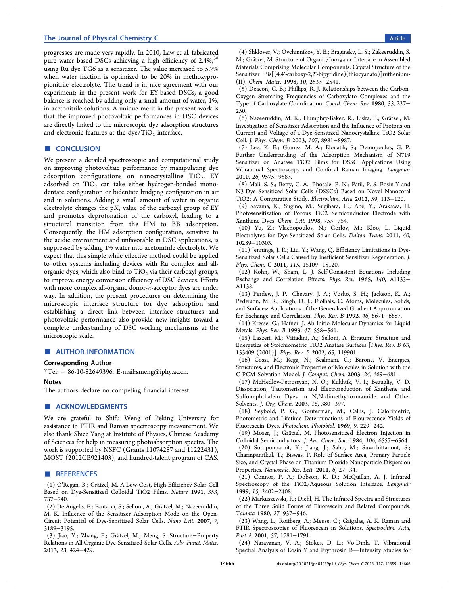<span id="page-6-0"></span>progresses are made very rapidly. In 2010, Law et al. fabricated pure water based DSCs achieving a high efficiency of 2.4%,<sup>38</sup> using Ru dye TG6 as a sensitizer. The value increased to 5.7% when water fraction is optimized to be 20% in methoxypr[o](#page-7-0)pionitrile electrolyte. The trend is in nice agreement with our experiment; in the present work for EY-based DSCs, a good balance is reached by adding only a small amount of water, 1%, in acetonitrile solutions. A unique merit in the present work is that the improved photovoltaic performances in DSC devices are directly linked to the microscopic dye adsorption structures and electronic features at the  $dye/TiO<sub>2</sub>$  interface.

# ■ CONCLUSION

We present a detailed spectroscopic and computational study on improving photovoltaic performance by manipulating dye adsorption configurations on nanocrystalline  $TiO<sub>2</sub>$ . EY adsorbed on  $TiO<sub>2</sub>$  can take either hydrogen-bonded monodentate configuration or bidentate bridging configuration in air and in solutions. Adding a small amount of water in organic electrolyte changes the  $pK_a$  value of the carboxyl group of EY and promotes deprotonation of the carboxyl, leading to a structural transition from the HM to BB adsorption. Consequently, the HM adsorption configuration, sensitive to the acidic environment and unfavorable in DSC applications, is suppressed by adding 1% water into acetonitrile electrolyte. We expect that this simple while effective method could be applied to other systems including devices with Ru complex and allorganic dyes, which also bind to  $TiO<sub>2</sub>$  via their carboxyl groups, to improve energy conversion efficiency of DSC devices. Efforts with more complex all-organic donor-π-acceptor dyes are under way. In addition, the present procedures on determining the microscopic interface structure for dye adsorption and establishing a direct link between interface structures and photovoltaic performance also provide new insights toward a complete understanding of DSC working mechanisms at the microscopic scale.

## ■ AUTHOR INFORMATION

## Corresponding Author

\*Tel: + 86-10-82649396. E-mail:smeng@iphy.ac.cn.

#### **Notes**

The authors declare no competing fi[nancial interest](mailto:E-mail:smeng@iphy.ac.cn).

#### ■ ACKNOWLEDGMENTS

We are grateful to Shifu Weng of Peking University for assistance in FTIR and Raman spectroscopy measurement. We also thank Shize Yang at Institute of Physics, Chinese Academy of Sciences for help in measuring photoabsorption spectra. The work is supported by NSFC (Grants 11074287 and 11222431), MOST (2012CB921403), and hundred-talent program of CAS.

## ■ REFERENCES

(1) O'Regan, B.; Gratzel, M. A Low-Cost, High-Efficiency Solar Cell ̈ Based on Dye-Sensitized Colloidal TiO2 Films. Nature 1991, 353, 737−740.

(2) De Angelis, F.; Fantacci, S.; Selloni, A.; Gratzel, M.; Nazeeruddin, ̈ M. K. Influence of the Sensitizer Adsorption Mode on the Open-Circuit Potential of Dye-Sensitized Solar Cells. Nano Lett. 2007, 7, 3189−3195.

(3) Jiao, Y.; Zhang, F.; Gratzel, M.; Meng, S. Structure ̈ −Property Relations in All-Organic Dye-Sensitized Solar Cells. Adv. Funct. Mater. 2013, 23, 424−429.

(4) Shklover, V.; Ovchinnikov, Y. E.; Braginsky, L. S.; Zakeeruddin, S. M.; Grätzel, M. Structure of Organic/Inorganic Interface in Assembled Materials Comprising Molecular Components. Crystal Structure of the Sensitizer Bis[(4,4'-carboxy-2,2'-bipyridine)(thiocyanato)]ruthenium- (II). Chem. Mater. 1998, 10, 2533−2541.

(5) Deacon, G. B.; Phillips, R. J. Relationships between the Carbon-Oxygen Stretching Frequencies of Carboxylato Complexes and the Type of Carboxylate Coordination. Coord. Chem. Rev. 1980, 33, 227− 250.

(6) Nazeeruddin, M. K.; Humphry-Baker, R.; Liska, P.; Gratzel, M. ̈ Investigation of Sensitizer Adsorption and the Influence of Protons on Current and Voltage of a Dye-Sensitized Nanocrystalline TiO2 Solar Cell. J. Phys. Chem. B 2003, 107, 8981−8987.

(7) Lee, K. E.; Gomez, M. A.; Elouatik, S.; Demopoulos, G. P. Further Understanding of the Adsorption Mechanism of N719 Sensitizer on Anatase TiO2 Films for DSSC Applications Using Vibrational Spectroscopy and Confocal Raman Imaging. Langmuir 2010, 26, 9575−9583.

(8) Mali, S. S.; Betty, C. A.; Bhosale, P. N.; Patil, P. S. Eosin-Y and N3-Dye Sensitized Solar Cells (DSSCs) Based on Novel Nanocoral TiO2: A Comparative Study. Electrochim. Acta 2012, 59, 113−120.

(9) Sayama, K.; Sugino, M.; Sugihara, H.; Abe, Y.; Arakawa, H. Photosensitization of Porous TiO2 Semiconductor Electrode with Xanthene Dyes. Chem. Lett. 1998, 753−754.

(10) Yu, Z.; Vlachopoulos, N.; Gorlov, M.; Kloo, L. Liquid Electrolytes for Dye-Sensitized Solar Cells. Dalton Trans. 2011, 40, 10289−10303.

(11) Jennings, J. R.; Liu, Y.; Wang, Q. Efficiency Limitations in Dye-Sensitized Solar Cells Caused by Inefficient Sensitizer Regeneration. J. Phys. Chem. C 2011, 115, 15109-15120.

(12) Kohn, W.; Sham, L. J. Self-Consistent Equations Including Exchange and Correlation Effects. Phys. Rev. 1965, 140, A1133− A1138.

(13) Perdew, J. P.; Chevary, J. A.; Vosko, S. H.; Jackson, K. A.; Pederson, M. R.; Singh, D. J.; Fiolhais, C. Atoms, Molecules, Solids, and Surfaces: Applications of the Generalized Gradient Approximation for Exchange and Correlation. Phys. Rev. B 1992, 46, 6671−6687.

(14) Kresse, G.; Hafner, J. Ab Initio Molecular Dynamics for Liquid Metals. Phys. Rev. B 1993, 47, 558−561.

(15) Lazzeri, M.; Vittadini, A.; Selloni, A. Erratum: Structure and Energetics of Stoichiometric TiO2 Anatase Surfaces [Phys. Rev. B 63, 155409 (2001)]. Phys. Rev. B 2002, 65, 119901.

(16) Cossi, M.; Rega, N.; Scalmani, G.; Barone, V. Energies, Structures, and Electronic Properties of Molecules in Solution with the C-PCM Solvation Model. J. Comput. Chem. 2003, 24, 669−681.

(17) McHedlov-Petrossyan, N. O.; Kukhtik, V. I.; Bezugliy, V. D. Dissociation, Tautomerism and Electroreduction of Xanthene and Sulfonephthalein Dyes in N,N-dimethylformamide and Other Solvents. J. Org. Chem. 2003, 16, 380−397.

(18) Seybold, P. G.; Gouterman, M.; Callis, J. Calorimetric, Photometric and Lifetime Determinations of Flourescence Yields of Fluorescein Dyes. Photochem. Photobiol. 1969, 9, 229−242.

(19) Moser, J.; Gratzel, M. Photosensitized Electron Injection in ̈ Colloidal Semiconductors. J. Am. Chem. Soc. 1984, 106, 6557−6564. (20) Suttiponparnit, K.; Jiang, J.; Sahu, M.; Suvachittanont, S.;

Charinpanitkul, T.; Biswas, P. Role of Surface Area, Primary Particle Size, and Crystal Phase on Titanium Dioxide Nanoparticle Dispersion Properties. Nanoscale. Res. Lett. 2011, 6, 27−34.

(21) Connor, P. A.; Dobson, K. D.; McQuillan, A. J. Infrared Spectroscopy of the TiO2/Aqueous Solution Interface. Langmuir 1999, 15, 2402−2408.

(22) Markuszewski, R.; Diehl, H. The Infrared Spectra and Structures of the Three Solid Forms of Fluorescein and Related Compounds. Talanta 1980, 27, 937−946.

(23) Wang, L.; Roitberg, A.; Meuse, C.; Gaigalas, A. K. Raman and FTIR Spectroscopies of Fluorescein in Solutions. Spectrochim. Acta, Part A 2001, 57, 1781−1791.

(24) Narayanan, V. A.; Stokes, D. L.; Vo-Dinh, T. Vibrational Spectral Analysis of Eosin Y and Erythrosin B-Intensity Studies for